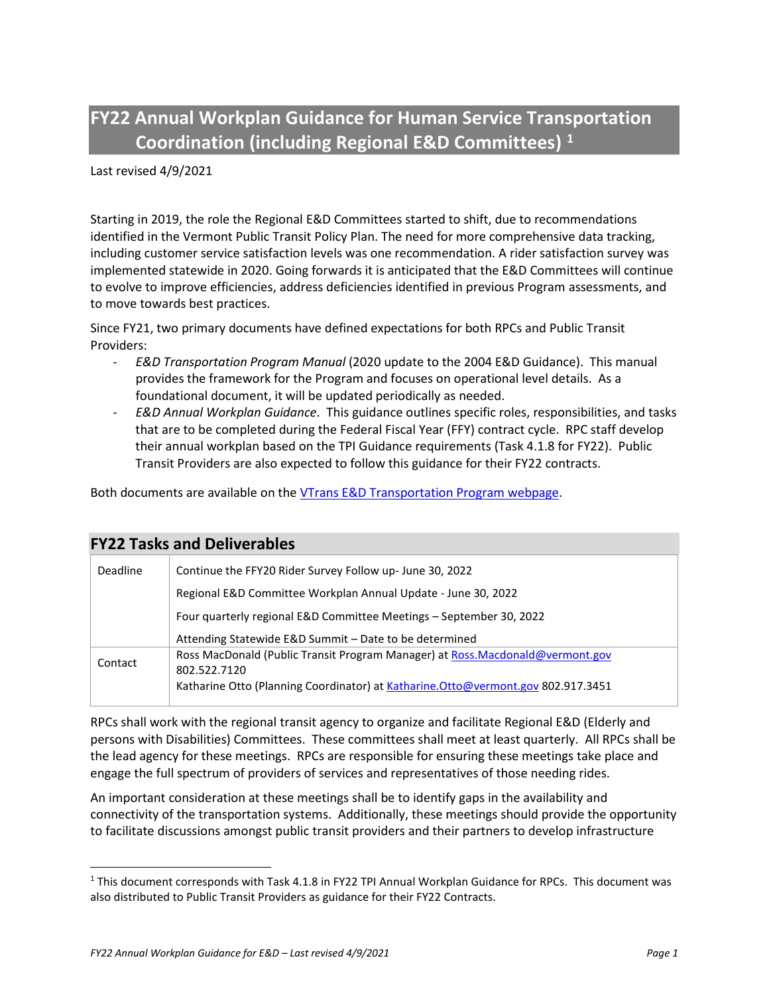**FY22 Annual Workplan Guidance for Human Service Transportation Coordination (including Regional E&D Committees) [1](#page-0-0)**

Last revised 4/9/2021

Starting in 2019, the role the Regional E&D Committees started to shift, due to recommendations identified in the Vermont Public Transit Policy Plan. The need for more comprehensive data tracking, including customer service satisfaction levels was one recommendation. A rider satisfaction survey was implemented statewide in 2020. Going forwards it is anticipated that the E&D Committees will continue to evolve to improve efficiencies, address deficiencies identified in previous Program assessments, and to move towards best practices.

Since FY21, two primary documents have defined expectations for both RPCs and Public Transit Providers:

- *E&D Transportation Program Manual* (2020 update to the 2004 E&D Guidance). This manual provides the framework for the Program and focuses on operational level details. As a foundational document, it will be updated periodically as needed.
- *E&D Annual Workplan Guidance*. This guidance outlines specific roles, responsibilities, and tasks that are to be completed during the Federal Fiscal Year (FFY) contract cycle. RPC staff develop their annual workplan based on the TPI Guidance requirements (Task 4.1.8 for FY22). Public Transit Providers are also expected to follow this guidance for their FY22 contracts.

Both documents are available on the [VTrans E&D Transportation Program webpage.](https://vtrans.vermont.gov/public-transit/E-and-D)

| <b>FY22 Tasks and Deliverables</b> |                                                                                               |
|------------------------------------|-----------------------------------------------------------------------------------------------|
| <b>Deadline</b>                    | Continue the FFY20 Rider Survey Follow up-June 30, 2022                                       |
|                                    | Regional E&D Committee Workplan Annual Update - June 30, 2022                                 |
|                                    | Four quarterly regional E&D Committee Meetings - September 30, 2022                           |
|                                    | Attending Statewide E&D Summit - Date to be determined                                        |
| Contact                            | Ross MacDonald (Public Transit Program Manager) at Ross.Macdonald@vermont.gov<br>802.522.7120 |
|                                    | Katharine Otto (Planning Coordinator) at Katharine. Otto@vermont.gov 802.917.3451             |

RPCs shall work with the regional transit agency to organize and facilitate Regional E&D (Elderly and persons with Disabilities) Committees. These committees shall meet at least quarterly. All RPCs shall be the lead agency for these meetings. RPCs are responsible for ensuring these meetings take place and engage the full spectrum of providers of services and representatives of those needing rides.

An important consideration at these meetings shall be to identify gaps in the availability and connectivity of the transportation systems. Additionally, these meetings should provide the opportunity to facilitate discussions amongst public transit providers and their partners to develop infrastructure

<span id="page-0-0"></span><sup>1</sup> This document corresponds with Task 4.1.8 in FY22 TPI Annual Workplan Guidance for RPCs. This document was also distributed to Public Transit Providers as guidance for their FY22 Contracts.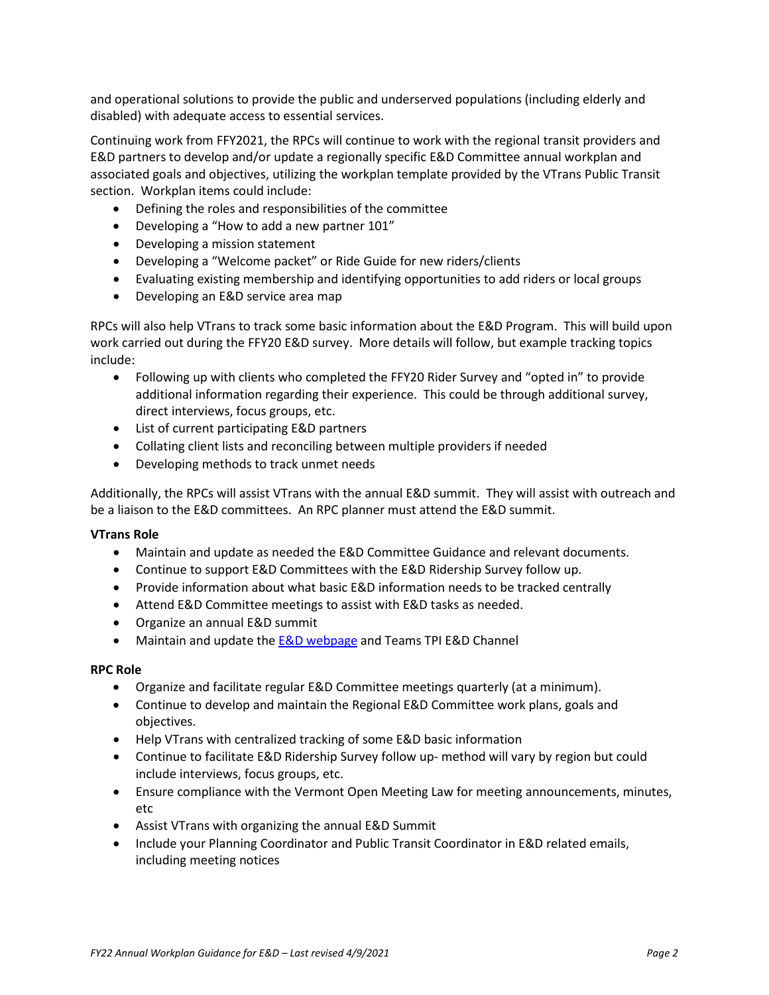and operational solutions to provide the public and underserved populations (including elderly and disabled) with adequate access to essential services.

Continuing work from FFY2021, the RPCs will continue to work with the regional transit providers and E&D partners to develop and/or update a regionally specific E&D Committee annual workplan and associated goals and objectives, utilizing the workplan template provided by the VTrans Public Transit section. Workplan items could include:

- Defining the roles and responsibilities of the committee
- Developing a "How to add a new partner 101"
- Developing a mission statement
- Developing a "Welcome packet" or Ride Guide for new riders/clients
- Evaluating existing membership and identifying opportunities to add riders or local groups
- Developing an E&D service area map

RPCs will also help VTrans to track some basic information about the E&D Program. This will build upon work carried out during the FFY20 E&D survey. More details will follow, but example tracking topics include:

- Following up with clients who completed the FFY20 Rider Survey and "opted in" to provide additional information regarding their experience. This could be through additional survey, direct interviews, focus groups, etc.
- List of current participating E&D partners
- Collating client lists and reconciling between multiple providers if needed
- Developing methods to track unmet needs

Additionally, the RPCs will assist VTrans with the annual E&D summit. They will assist with outreach and be a liaison to the E&D committees. An RPC planner must attend the E&D summit.

## **VTrans Role**

- Maintain and update as needed the E&D Committee Guidance and relevant documents.
- Continue to support E&D Committees with the E&D Ridership Survey follow up.
- Provide information about what basic E&D information needs to be tracked centrally
- Attend E&D Committee meetings to assist with E&D tasks as needed.
- Organize an annual E&D summit
- Maintain and update th[e E&D webpage](https://vtrans.vermont.gov/public-transit/E-and-D) and Teams TPI E&D Channel

## **RPC Role**

- Organize and facilitate regular E&D Committee meetings quarterly (at a minimum).
- Continue to develop and maintain the Regional E&D Committee work plans, goals and objectives.
- Help VTrans with centralized tracking of some E&D basic information
- Continue to facilitate E&D Ridership Survey follow up- method will vary by region but could include interviews, focus groups, etc.
- Ensure compliance with the Vermont Open Meeting Law for meeting announcements, minutes, etc
- Assist VTrans with organizing the annual E&D Summit
- Include your Planning Coordinator and Public Transit Coordinator in E&D related emails, including meeting notices